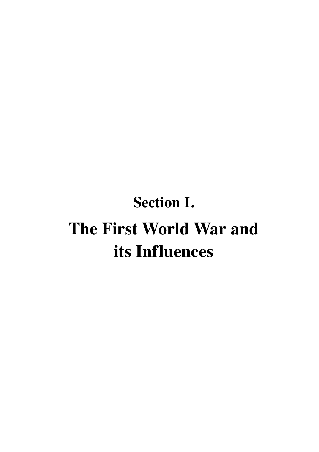# **Section I. The First World War and its Influences**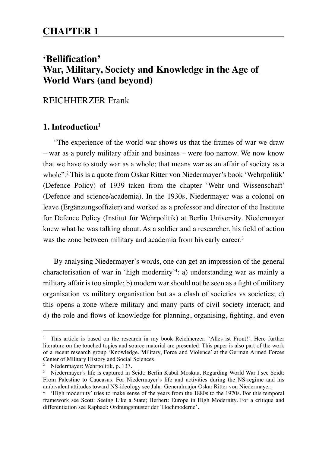# **'Bellification' War, Military, Society and Knowledge in the Age of World Wars (and beyond)**

# REICHHERZER Frank

## **1. Introduction1**

"The experience of the world war shows us that the frames of war we draw – war as a purely military affair and business – were too narrow. We now know that we have to study war as a whole; that means war as an affair of society as a whole".2 This is a quote from Oskar Ritter von Niedermayer's book 'Wehrpolitik' (Defence Policy) of 1939 taken from the chapter 'Wehr und Wissenschaft' (Defence and science/academia). In the 1930s, Niedermayer was a colonel on leave (Ergänzungsoffizier) and worked as a professor and director of the Institute for Defence Policy (Institut für Wehrpolitik) at Berlin University. Niedermayer knew what he was talking about. As a soldier and a researcher, his field of action was the zone between military and academia from his early career.<sup>3</sup>

By analysing Niedermayer's words, one can get an impression of the general characterisation of war in 'high modernity'4 : a) understanding war as mainly a military affair is too simple; b) modern war should not be seen as a fight of military organisation vs military organisation but as a clash of societies vs societies; c) this opens a zone where military and many parts of civil society interact; and d) the role and flows of knowledge for planning, organising, fighting, and even

<sup>1</sup> This article is based on the research in my book Reichherzer: 'Alles ist Front!'. Here further literature on the touched topics and source material are presented. This paper is also part of the work of a recent research group 'Knowledge, Military, Force and Violence' at the German Armed Forces Center of Military History and Social Sciences.

<sup>2</sup> Niedermayer: Wehrpolitik, p. 137.

<sup>3</sup> Niedermayer's life is captured in Seidt: Berlin Kabul Moskau. Regarding World War I see Seidt: From Palestine to Caucasus. For Niedermayer's life and activities during the NS-regime and his ambivalent attitudes toward NS-ideology see Jahr: Generalmajor Oskar Ritter von Niedermayer.

<sup>4</sup> 'High modernity' tries to make sense of the years from the 1880s to the 1970s. For this temporal framework see Scott: Seeing Like a State; Herbert: Europe in High Modernity. For a critique and differentiation see Raphael: Ordnungsmuster der 'Hochmoderne'.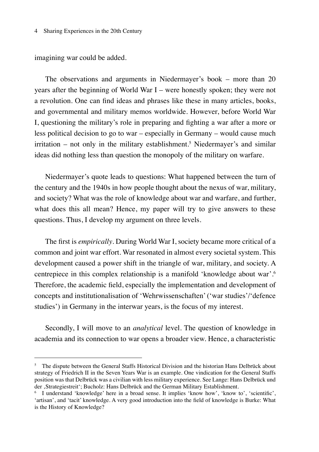imagining war could be added.

The observations and arguments in Niedermayer's book – more than 20 years after the beginning of World War I – were honestly spoken; they were not a revolution. One can find ideas and phrases like these in many articles, books, and governmental and military memos worldwide. However, before World War I, questioning the military's role in preparing and fighting a war after a more or less political decision to go to war – especially in Germany – would cause much irritation – not only in the military establishment.<sup>5</sup> Niedermayer's and similar ideas did nothing less than question the monopoly of the military on warfare.

Niedermayer's quote leads to questions: What happened between the turn of the century and the 1940s in how people thought about the nexus of war, military, and society? What was the role of knowledge about war and warfare, and further, what does this all mean? Hence, my paper will try to give answers to these questions. Thus, I develop my argument on three levels.

The first is *empirically*. During World War I, society became more critical of a common and joint war effort. War resonated in almost every societal system. This development caused a power shift in the triangle of war, military, and society. A centrepiece in this complex relationship is a manifold 'knowledge about war'.6 Therefore, the academic field, especially the implementation and development of concepts and institutionalisation of 'Wehrwissenschaften' ('war studies'/'defence studies') in Germany in the interwar years, is the focus of my interest.

Secondly, I will move to an *analytical* level. The question of knowledge in academia and its connection to war opens a broader view. Hence, a characteristic

<sup>&</sup>lt;sup>5</sup> The dispute between the General Staffs Historical Division and the historian Hans Delbrück about strategy of Friedrich II in the Seven Years War is an example. One vindication for the General Staffs position was that Delbrück was a civilian with less military experience. See Lange: Hans Delbrück und der 'Strategiestreit'; Bucholz: Hans Delbrück and the German Military Establishment.

<sup>6</sup> I understand 'knowledge' here in a broad sense. It implies 'know how', 'know to', 'scientific', 'artisan', and 'tacit' knowledge. A very good introduction into the field of knowledge is Burke: What is the History of Knowledge?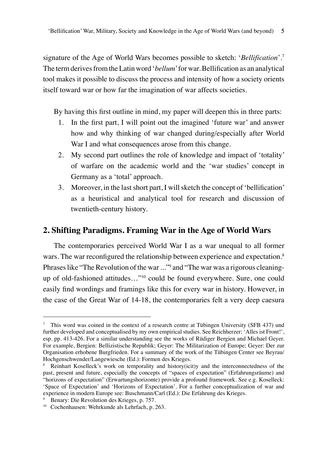signature of the Age of World Wars becomes possible to sketch: '*Bellification*'.7 The term derives from the Latin word '*bellum*' for war. Bellification as an analytical tool makes it possible to discuss the process and intensity of how a society orients itself toward war or how far the imagination of war affects societies.

By having this first outline in mind, my paper will deepen this in three parts:

- 1. In the first part, I will point out the imagined 'future war' and answer how and why thinking of war changed during/especially after World War I and what consequences arose from this change.
- 2. My second part outlines the role of knowledge and impact of 'totality' of warfare on the academic world and the 'war studies' concept in Germany as a 'total' approach.
- 3. Moreover, in the last short part, I will sketch the concept of 'bellification' as a heuristical and analytical tool for research and discussion of twentieth-century history.

## **2. Shifting Paradigms. Framing War in the Age of World Wars**

The contemporaries perceived World War I as a war unequal to all former wars. The war reconfigured the relationship between experience and expectation.<sup>8</sup> Phrases like "The Revolution of the war ..."<sup>9</sup> and "The war was a rigorous cleaningup of old-fashioned attitudes…"10 could be found everywhere. Sure, one could easily find wordings and framings like this for every war in history. However, in the case of the Great War of 14-18, the contemporaries felt a very deep caesura

<sup>7</sup> This word was coined in the context of a research centre at Tübingen University (SFB 437) und further developed and conceptualised by my own empirical studies. See Reichherzer: 'Alles ist Front!', esp. pp. 413-426. For a similar understanding see the works of Rüdiger Bergien and Michael Geyer. For example, Bergien: Bellizistische Republik; Geyer: The Militarization of Europe; Geyer: Der zur Organisation erhobene Burgfrieden. For a summary of the work of the Tübingen Center see Beyrau/ Hochgenschwender/Langewiesche (Ed.): Formen des Krieges.

<sup>8</sup> Reinhart Koselleck's work on temporality and history(icit)y and the interconnectedness of the past, present and future, especially the concepts of "spaces of expectation" (Erfahrungsräume) and "horizons of expectation" (Erwartungshorizonte) provide a profound framework. See e.g. Koselleck: 'Space of Expectation' and 'Horizons of Expectation'. For a further conceptualization of war and experience in modern Europe see: Buschmann/Carl (Ed.): Die Erfahrung des Krieges.

<sup>9</sup> Benary: Die Revolution des Krieges, p. 757.

<sup>10</sup> Cochenhausen: Wehrkunde als Lehrfach, p. 263.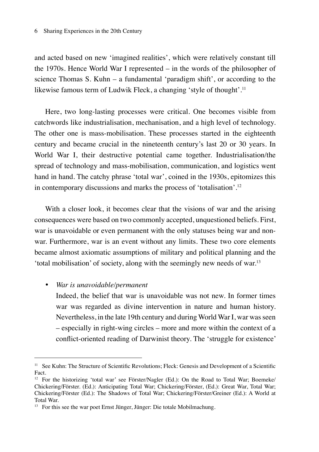and acted based on new 'imagined realities', which were relatively constant till the 1970s. Hence World War I represented – in the words of the philosopher of science Thomas S. Kuhn – a fundamental 'paradigm shift', or according to the likewise famous term of Ludwik Fleck, a changing 'style of thought'.<sup>11</sup>

Here, two long-lasting processes were critical. One becomes visible from catchwords like industrialisation, mechanisation, and a high level of technology. The other one is mass-mobilisation. These processes started in the eighteenth century and became crucial in the nineteenth century's last 20 or 30 years. In World War I, their destructive potential came together. Industrialisation/the spread of technology and mass-mobilisation, communication, and logistics went hand in hand. The catchy phrase 'total war', coined in the 1930s, epitomizes this in contemporary discussions and marks the process of 'totalisation'.12

With a closer look, it becomes clear that the visions of war and the arising consequences were based on two commonly accepted, unquestioned beliefs. First, war is unavoidable or even permanent with the only statuses being war and nonwar. Furthermore, war is an event without any limits. These two core elements became almost axiomatic assumptions of military and political planning and the 'total mobilisation' of society, along with the seemingly new needs of war.13

## • *War is unavoidable/permanent*

Indeed, the belief that war is unavoidable was not new. In former times war was regarded as divine intervention in nature and human history. Nevertheless, in the late 19th century and during World War I, war was seen – especially in right-wing circles – more and more within the context of a conflict-oriented reading of Darwinist theory. The 'struggle for existence'

<sup>&</sup>lt;sup>11</sup> See Kuhn: The Structure of Scientific Revolutions; Fleck: Genesis and Development of a Scientific Fact.

<sup>&</sup>lt;sup>12</sup> For the historizing 'total war' see Förster/Nagler (Ed.): On the Road to Total War; Boemeke/ Chickering/Förster. (Ed.): Anticipating Total War; Chickering/Förster, (Ed.): Great War, Total War; Chickering/Förster (Ed.): The Shadows of Total War; Chickering/Förster/Greiner (Ed.): A World at Total War.

<sup>13</sup> For this see the war poet Ernst Jünger, Jünger: Die totale Mobilmachung.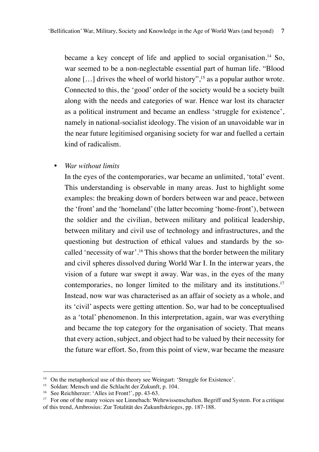became a key concept of life and applied to social organisation.<sup>14</sup> So, war seemed to be a non-neglectable essential part of human life. "Blood alone  $[\dots]$  drives the wheel of world history",<sup>15</sup> as a popular author wrote. Connected to this, the 'good' order of the society would be a society built along with the needs and categories of war. Hence war lost its character as a political instrument and became an endless 'struggle for existence', namely in national-socialist ideology. The vision of an unavoidable war in the near future legitimised organising society for war and fuelled a certain kind of radicalism.

### • *War without limits*

In the eyes of the contemporaries, war became an unlimited, 'total' event. This understanding is observable in many areas. Just to highlight some examples: the breaking down of borders between war and peace, between the 'front' and the 'homeland' (the latter becoming 'home-front'), between the soldier and the civilian, between military and political leadership, between military and civil use of technology and infrastructures, and the questioning but destruction of ethical values and standards by the socalled 'necessity of war'.16 This shows that the border between the military and civil spheres dissolved during World War I. In the interwar years, the vision of a future war swept it away. War was, in the eyes of the many contemporaries, no longer limited to the military and its institutions.<sup>17</sup> Instead, now war was characterised as an affair of society as a whole, and its 'civil' aspects were getting attention. So, war had to be conceptualised as a 'total' phenomenon. In this interpretation, again, war was everything and became the top category for the organisation of society. That means that every action, subject, and object had to be valued by their necessity for the future war effort. So, from this point of view, war became the measure

<sup>&</sup>lt;sup>14</sup> On the metaphorical use of this theory see Weingart: 'Struggle for Existence'.<br><sup>15</sup> Soldan: Mensch und die Schlacht der Zukunft, p. 104.

<sup>16</sup> See Reichherzer: 'Alles ist Front!', pp. 43-63.

<sup>&</sup>lt;sup>17</sup> For one of the many voices see Linnebach: Wehrwissenschaften. Begriff und System. For a critique of this trend, Ambrosius: Zur Totalität des Zukunftskrieges, pp. 187-188.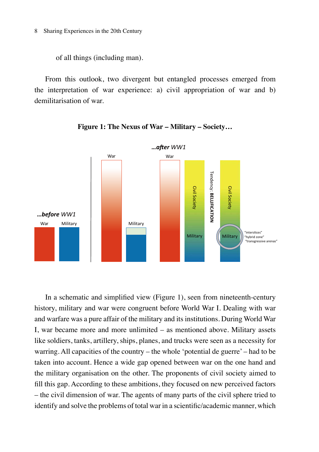of all things (including man).

From this outlook, two divergent but entangled processes emerged from the interpretation of war experience: a) civil appropriation of war and b) demilitarisation of war.





In a schematic and simplified view (Figure 1), seen from nineteenth-century history, military and war were congruent before World War I. Dealing with war and warfare was a pure affair of the military and its institutions. During World War I, war became more and more unlimited – as mentioned above. Military assets like soldiers, tanks, artillery, ships, planes, and trucks were seen as a necessity for warring. All capacities of the country – the whole 'potential de guerre' – had to be taken into account. Hence a wide gap opened between war on the one hand and the military organisation on the other. The proponents of civil society aimed to fill this gap. According to these ambitions, they focused on new perceived factors – the civil dimension of war. The agents of many parts of the civil sphere tried to identify and solve the problems of total war in a scientific/academic manner, which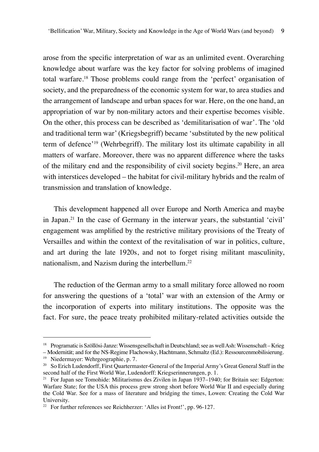arose from the specific interpretation of war as an unlimited event. Overarching knowledge about warfare was the key factor for solving problems of imagined total warfare.18 Those problems could range from the 'perfect' organisation of society, and the preparedness of the economic system for war, to area studies and the arrangement of landscape and urban spaces for war. Here, on the one hand, an appropriation of war by non-military actors and their expertise becomes visible. On the other, this process can be described as 'demilitarisation of war'. The 'old and traditional term war' (Kriegsbegriff) became 'substituted by the new political term of defence'19 (Wehrbegriff). The military lost its ultimate capability in all matters of warfare. Moreover, there was no apparent difference where the tasks of the military end and the responsibility of civil society begins.20 Here, an area with interstices developed – the habitat for civil-military hybrids and the realm of transmission and translation of knowledge.

This development happened all over Europe and North America and maybe in Japan.21 In the case of Germany in the interwar years, the substantial 'civil' engagement was amplified by the restrictive military provisions of the Treaty of Versailles and within the context of the revitalisation of war in politics, culture, and art during the late 1920s, and not to forget rising militant masculinity, nationalism, and Nazism during the interbellum.22

The reduction of the German army to a small military force allowed no room for answering the questions of a 'total' war with an extension of the Army or the incorporation of experts into military institutions. The opposite was the fact. For sure, the peace treaty prohibited military-related activities outside the

<sup>18</sup> Programatic is Szöllösi-Janze: Wissensgesellschaft in Deutschland; see as well Ash: Wissenschaft – Krieg

<sup>–</sup> Modernität; and for the NS-Regime Flachowsky, Hachtmann, Schmaltz (Ed.): Ressourcenmobilisierung. <sup>19</sup> Niedermayer: Wehrgeographie, p. 7.

<sup>&</sup>lt;sup>20</sup> So Erich Ludendorff, First Quartermaster-General of the Imperial Army's Great General Staff in the second half of the First World War, Ludendorff: Kriegserinnerungen, p. 1.

<sup>&</sup>lt;sup>21</sup> For Japan see Tomohide: Militarismus des Zivilen in Japan 1937–1940; for Britain see: Edgerton: Warfare State; for the USA this process grew strong short before World War II and especially during the Cold War. See for a mass of literature and bridging the times, Lowen: Creating the Cold War University.

<sup>&</sup>lt;sup>22</sup> For further references see Reichherzer: 'Alles ist Front!', pp. 96-127.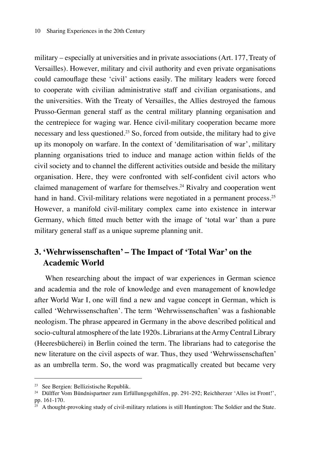military – especially at universities and in private associations (Art. 177, Treaty of Versailles). However, military and civil authority and even private organisations could camouflage these 'civil' actions easily. The military leaders were forced to cooperate with civilian administrative staff and civilian organisations, and the universities. With the Treaty of Versailles, the Allies destroyed the famous Prusso-German general staff as the central military planning organisation and the centrepiece for waging war. Hence civil-military cooperation became more necessary and less questioned.23 So, forced from outside, the military had to give up its monopoly on warfare. In the context of 'demilitarisation of war', military planning organisations tried to induce and manage action within fields of the civil society and to channel the different activities outside and beside the military organisation. Here, they were confronted with self-confident civil actors who claimed management of warfare for themselves.24 Rivalry and cooperation went hand in hand. Civil-military relations were negotiated in a permanent process.<sup>25</sup> However, a manifold civil-military complex came into existence in interwar Germany, which fitted much better with the image of 'total war' than a pure military general staff as a unique supreme planning unit.

# **3. 'Wehrwissenschaften' – The Impact of 'Total War' on the Academic World**

When researching about the impact of war experiences in German science and academia and the role of knowledge and even management of knowledge after World War I, one will find a new and vague concept in German, which is called 'Wehrwissenschaften'. The term 'Wehrwissenschaften' was a fashionable neologism. The phrase appeared in Germany in the above described political and socio-cultural atmosphere of the late 1920s. Librarians at the Army Central Library (Heeresbücherei) in Berlin coined the term. The librarians had to categorise the new literature on the civil aspects of war. Thus, they used 'Wehrwissenschaften' as an umbrella term. So, the word was pragmatically created but became very

<sup>23</sup> See Bergien: Bellizistische Republik.

<sup>24</sup> Dülffer Vom Bündnispartner zum Erfüllungsgehilfen, pp. 291-292; Reichherzer 'Alles ist Front!', pp. 161-170.

 $25$  A thought-provoking study of civil-military relations is still Huntington: The Soldier and the State.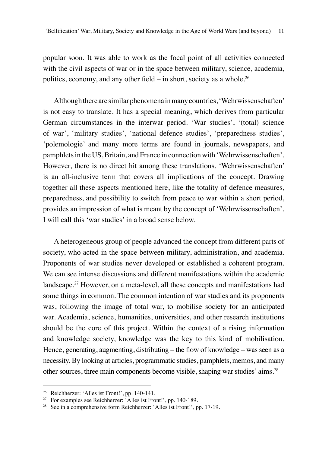popular soon. It was able to work as the focal point of all activities connected with the civil aspects of war or in the space between military, science, academia, politics, economy, and any other field – in short, society as a whole.<sup>26</sup>

Although there are similar phenomena in many countries, 'Wehrwissenschaften' is not easy to translate. It has a special meaning, which derives from particular German circumstances in the interwar period. 'War studies', '(total) science of war', 'military studies', 'national defence studies', 'preparedness studies', 'polemologie' and many more terms are found in journals, newspapers, and pamphlets in the US, Britain, and France in connection with 'Wehrwissenschaften'. However, there is no direct hit among these translations. 'Wehrwissenschaften' is an all-inclusive term that covers all implications of the concept. Drawing together all these aspects mentioned here, like the totality of defence measures, preparedness, and possibility to switch from peace to war within a short period, provides an impression of what is meant by the concept of 'Wehrwissenschaften'. I will call this 'war studies' in a broad sense below.

A heterogeneous group of people advanced the concept from different parts of society, who acted in the space between military, administration, and academia. Proponents of war studies never developed or established a coherent program. We can see intense discussions and different manifestations within the academic landscape.27 However, on a meta-level, all these concepts and manifestations had some things in common. The common intention of war studies and its proponents was, following the image of total war, to mobilise society for an anticipated war. Academia, science, humanities, universities, and other research institutions should be the core of this project. Within the context of a rising information and knowledge society, knowledge was the key to this kind of mobilisation. Hence, generating, augmenting, distributing – the flow of knowledge – was seen as a necessity. By looking at articles, programmatic studies, pamphlets, memos, and many other sources, three main components become visible, shaping war studies' aims.28

<sup>26</sup> Reichherzer: 'Alles ist Front!', pp. 140-141.

<sup>&</sup>lt;sup>27</sup> For examples see Reichherzer:  $\hat{A}$ lles ist Front!', pp. 140-189.

<sup>28</sup> See in a comprehensive form Reichherzer: 'Alles ist Front!', pp. 17-19.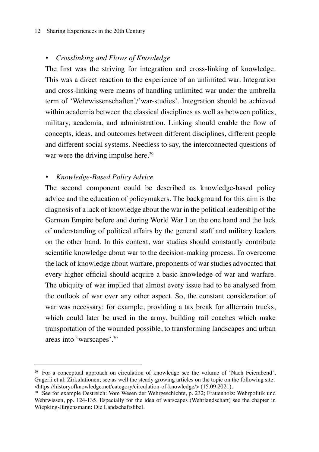#### 12 Sharing Experiences in the 20th Century

## • *Crosslinking and Flows of Knowledge*

The first was the striving for integration and cross-linking of knowledge. This was a direct reaction to the experience of an unlimited war. Integration and cross-linking were means of handling unlimited war under the umbrella term of 'Wehrwissenschaften'/'war-studies'. Integration should be achieved within academia between the classical disciplines as well as between politics, military, academia, and administration. Linking should enable the flow of concepts, ideas, and outcomes between different disciplines, different people and different social systems. Needless to say, the interconnected questions of war were the driving impulse here.<sup>29</sup>

## • *Knowledge-Based Policy Advice*

The second component could be described as knowledge-based policy advice and the education of policymakers. The background for this aim is the diagnosis of a lack of knowledge about the war in the political leadership of the German Empire before and during World War I on the one hand and the lack of understanding of political affairs by the general staff and military leaders on the other hand. In this context, war studies should constantly contribute scientific knowledge about war to the decision-making process. To overcome the lack of knowledge about warfare, proponents of war studies advocated that every higher official should acquire a basic knowledge of war and warfare. The ubiquity of war implied that almost every issue had to be analysed from the outlook of war over any other aspect. So, the constant consideration of war was necessary: for example, providing a tax break for allterrain trucks, which could later be used in the army, building rail coaches which make transportation of the wounded possible, to transforming landscapes and urban areas into 'warscapes'.30

<sup>&</sup>lt;sup>29</sup> For a conceptual approach on circulation of knowledge see the volume of 'Nach Feierabend', Gugerli et al: Zirkulationen; see as well the steady growing articles on the topic on the following site. <https://historyofknowledge.net/category/circulation-of-knowledge/> (15.09.2021).

<sup>30</sup> See for example Oestreich: Vom Wesen der Wehrgeschichte, p. 232; Frauenholz: Wehrpolitik und Wehrwissen, pp. 124-135. Especially for the idea of warscapes (Wehrlandschaft) see the chapter in Wiepking-Jürgensmann: Die Landschaftsfibel.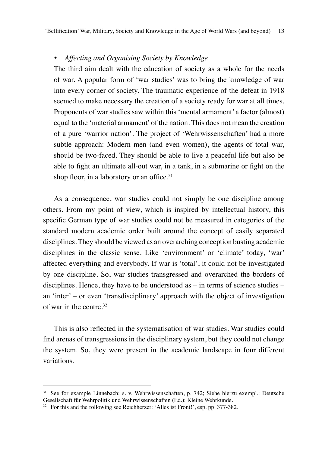## • *Affecting and Organising Society by Knowledge*

The third aim dealt with the education of society as a whole for the needs of war. A popular form of 'war studies' was to bring the knowledge of war into every corner of society. The traumatic experience of the defeat in 1918 seemed to make necessary the creation of a society ready for war at all times. Proponents of war studies saw within this 'mental armament' a factor (almost) equal to the 'material armament' of the nation. This does not mean the creation of a pure 'warrior nation'. The project of 'Wehrwissenschaften' had a more subtle approach: Modern men (and even women), the agents of total war, should be two-faced. They should be able to live a peaceful life but also be able to fight an ultimate all-out war, in a tank, in a submarine or fight on the shop floor, in a laboratory or an office.<sup>31</sup>

As a consequence, war studies could not simply be one discipline among others. From my point of view, which is inspired by intellectual history, this specific German type of war studies could not be measured in categories of the standard modern academic order built around the concept of easily separated disciplines. They should be viewed as an overarching conception busting academic disciplines in the classic sense. Like 'environment' or 'climate' today, 'war' affected everything and everybody. If war is 'total', it could not be investigated by one discipline. So, war studies transgressed and overarched the borders of disciplines. Hence, they have to be understood as – in terms of science studies – an 'inter' – or even 'transdisciplinary' approach with the object of investigation of war in the centre. $32$ 

This is also reflected in the systematisation of war studies. War studies could find arenas of transgressions in the disciplinary system, but they could not change the system. So, they were present in the academic landscape in four different variations.

<sup>31</sup> See for example Linnebach: s. v. Wehrwissenschaften, p. 742; Siehe hierzu exempl.: Deutsche Gesellschaft für Wehrpolitik und Wehrwissenschaften (Ed.): Kleine Wehrkunde.

<sup>&</sup>lt;sup>32</sup> For this and the following see Reichherzer: 'Alles ist Front!', esp. pp. 377-382.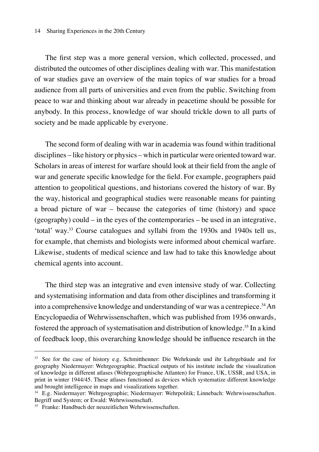#### 14 Sharing Experiences in the 20th Century

The first step was a more general version, which collected, processed, and distributed the outcomes of other disciplines dealing with war. This manifestation of war studies gave an overview of the main topics of war studies for a broad audience from all parts of universities and even from the public. Switching from peace to war and thinking about war already in peacetime should be possible for anybody. In this process, knowledge of war should trickle down to all parts of society and be made applicable by everyone.

The second form of dealing with war in academia was found within traditional disciplines – like history or physics – which in particular were oriented toward war. Scholars in areas of interest for warfare should look at their field from the angle of war and generate specific knowledge for the field. For example, geographers paid attention to geopolitical questions, and historians covered the history of war. By the way, historical and geographical studies were reasonable means for painting a broad picture of war – because the categories of time (history) and space (geography) could – in the eyes of the contemporaries – be used in an integrative, 'total' way.33 Course catalogues and syllabi from the 1930s and 1940s tell us, for example, that chemists and biologists were informed about chemical warfare. Likewise, students of medical science and law had to take this knowledge about chemical agents into account.

The third step was an integrative and even intensive study of war. Collecting and systematising information and data from other disciplines and transforming it into a comprehensive knowledge and understanding of war was a centrepiece.<sup>34</sup> An Encyclopaedia of Wehrwissenschaften, which was published from 1936 onwards, fostered the approach of systematisation and distribution of knowledge.<sup>35</sup> In a kind of feedback loop, this overarching knowledge should be influence research in the

<sup>33</sup> See for the case of history e.g. Schmitthenner: Die Wehrkunde und ihr Lehrgebäude and for geography Niedermayer: Wehrgeographie. Practical outputs of his institute include the visualization of knowledge in different atlases (Wehrgeographische Atlanten) for France, UK, USSR, and USA, in print in winter 1944/45. These atlases functioned as devices which systematize different knowledge and brought intelligence in maps and visualizations together.

<sup>34</sup> E.g. Niedermayer: Wehrgeographie; Niedermayer: Wehrpolitik; Linnebach: Wehrwissenschaften. Begriff und System; or Ewald: Wehrwissenschaft.

<sup>35</sup> Franke: Handbuch der neuzeitlichen Wehrwissenschaften.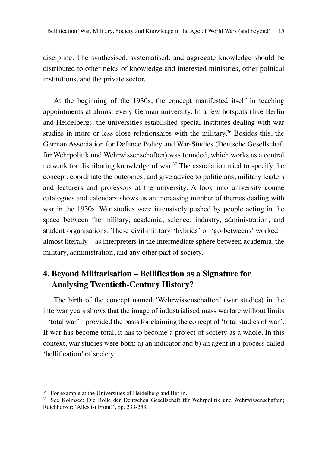discipline. The synthesised, systematised, and aggregate knowledge should be distributed to other fields of knowledge and interested ministries, other political institutions, and the private sector.

At the beginning of the 1930s, the concept manifested itself in teaching appointments at almost every German university. In a few hotspots (like Berlin and Heidelberg), the universities established special institutes dealing with war studies in more or less close relationships with the military.<sup>36</sup> Besides this, the German Association for Defence Policy and War-Studies (Deutsche Gesellschaft für Wehrpolitik und Wehrwissenschaften) was founded, which works as a central network for distributing knowledge of war.37 The association tried to specify the concept, coordinate the outcomes, and give advice to politicians, military leaders and lecturers and professors at the university. A look into university course catalogues and calendars shows us an increasing number of themes dealing with war in the 1930s. War studies were intensively pushed by people acting in the space between the military, academia, science, industry, administration, and student organisations. These civil-military 'hybrids' or 'go-betweens' worked – almost literally – as interpreters in the intermediate sphere between academia, the military, administration, and any other part of society.

# **4. Beyond Militarisation – Bellification as a Signature for Analysing Twentieth-Century History?**

The birth of the concept named 'Wehrwissenschaften' (war studies) in the interwar years shows that the image of industrialised mass warfare without limits – 'total war' – provided the basis for claiming the concept of 'total studies of war'. If war has become total, it has to become a project of society as a whole. In this context, war studies were both: a) an indicator and b) an agent in a process called 'bellification' of society.

<sup>&</sup>lt;sup>36</sup> For example at the Universities of Heidelberg and Berlin.

<sup>37</sup> See Kolmsee: Die Rolle der Deutschen Gesellschaft für Wehrpolitik und Wehrwissenschaften; Reichherzer: 'Alles ist Front!', pp. 233-253.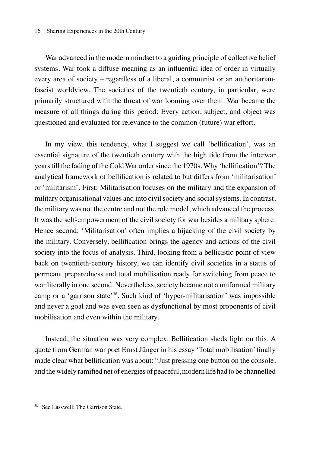#### 16 Sharing Experiences in the 20th Century

War advanced in the modern mindset to a guiding principle of collective belief systems. War took a diffuse meaning as an influential idea of order in virtually every area of society – regardless of a liberal, a communist or an authoritarianfascist worldview. The societies of the twentieth century, in particular, were primarily structured with the threat of war looming over them. War became the measure of all things during this period: Every action, subject, and object was questioned and evaluated for relevance to the common (future) war effort.

In my view, this tendency, what I suggest we call 'bellification', was an essential signature of the twentieth century with the high tide from the interwar years till the fading of the Cold War order since the 1970s. Why 'bellification'? The analytical framework of bellification is related to but differs from 'militarisation' or 'militarism'. First: Militarisation focuses on the military and the expansion of military organisational values and into civil society and social systems. In contrast, the military was not the centre and not the role model, which advanced the process. It was the self-empowerment of the civil society for war besides a military sphere. Hence second: 'Militarisation' often implies a hijacking of the civil society by the military. Conversely, bellification brings the agency and actions of the civil society into the focus of analysis. Third, looking from a bellicistic point of view back on twentieth-century history, we can identify civil societies in a status of permeant preparedness and total mobilisation ready for switching from peace to war literally in one second. Nevertheless, society became not a uniformed military camp or a 'garrison state'38. Such kind of 'hyper-militarisation' was impossible and never a goal and was even seen as dysfunctional by most proponents of civil mobilisation and even within the military.

Instead, the situation was very complex. Bellification sheds light on this. A quote from German war poet Ernst Jünger in his essay 'Total mobilisation' finally made clear what bellification was about: "Just pressing one button on the console, and the widely ramified net of energies of peaceful, modern life had to be channelled

<sup>38</sup> See Lasswell: The Garrison State.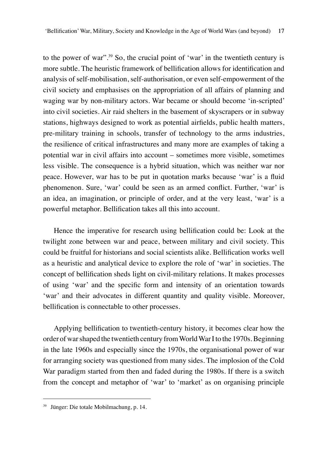to the power of war".39 So, the crucial point of 'war' in the twentieth century is more subtle. The heuristic framework of bellification allows for identification and analysis of self-mobilisation, self-authorisation, or even self-empowerment of the civil society and emphasises on the appropriation of all affairs of planning and waging war by non-military actors. War became or should become 'in-scripted' into civil societies. Air raid shelters in the basement of skyscrapers or in subway stations, highways designed to work as potential airfields, public health matters, pre-military training in schools, transfer of technology to the arms industries, the resilience of critical infrastructures and many more are examples of taking a potential war in civil affairs into account – sometimes more visible, sometimes less visible. The consequence is a hybrid situation, which was neither war nor peace. However, war has to be put in quotation marks because 'war' is a fluid phenomenon. Sure, 'war' could be seen as an armed conflict. Further, 'war' is an idea, an imagination, or principle of order, and at the very least, 'war' is a powerful metaphor. Bellification takes all this into account.

Hence the imperative for research using bellification could be: Look at the twilight zone between war and peace, between military and civil society. This could be fruitful for historians and social scientists alike. Bellification works well as a heuristic and analytical device to explore the role of 'war' in societies. The concept of bellification sheds light on civil-military relations. It makes processes of using 'war' and the specific form and intensity of an orientation towards 'war' and their advocates in different quantity and quality visible. Moreover, bellification is connectable to other processes.

Applying bellification to twentieth-century history, it becomes clear how the order of war shaped the twentieth century from World War I to the 1970s. Beginning in the late 1960s and especially since the 1970s, the organisational power of war for arranging society was questioned from many sides. The implosion of the Cold War paradigm started from then and faded during the 1980s. If there is a switch from the concept and metaphor of 'war' to 'market' as on organising principle

<sup>39</sup> Jünger: Die totale Mobilmachung, p. 14.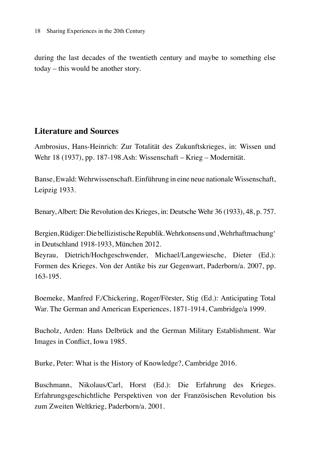during the last decades of the twentieth century and maybe to something else today – this would be another story.

# **Literature and Sources**

Ambrosius, Hans-Heinrich: Zur Totalität des Zukunftskrieges, in: Wissen und Wehr 18 (1937), pp. 187-198.Ash: Wissenschaft – Krieg – Modernität.

Banse, Ewald: Wehrwissenschaft. Einführung in eine neue nationale Wissenschaft, Leipzig 1933.

Benary, Albert: Die Revolution des Krieges, in: Deutsche Wehr 36 (1933), 48, p. 757.

Bergien, Rüdiger: Die bellizistische Republik. Wehrkonsens und, Wehrhaftmachung' in Deutschland 1918-1933, München 2012.

Beyrau, Dietrich/Hochgeschwender, Michael/Langewiesche, Dieter (Ed.): Formen des Krieges. Von der Antike bis zur Gegenwart, Paderborn/a. 2007, pp. 163-195.

Boemeke, Manfred F./Chickering, Roger/Förster, Stig (Ed.): Anticipating Total War. The German and American Experiences, 1871-1914, Cambridge/a 1999.

Bucholz, Arden: Hans Delbrück and the German Military Establishment. War Images in Conflict, Iowa 1985.

Burke, Peter: What is the History of Knowledge?, Cambridge 2016.

Buschmann, Nikolaus/Carl, Horst (Ed.): Die Erfahrung des Krieges. Erfahrungsgeschichtliche Perspektiven von der Französischen Revolution bis zum Zweiten Weltkrieg, Paderborn/a. 2001.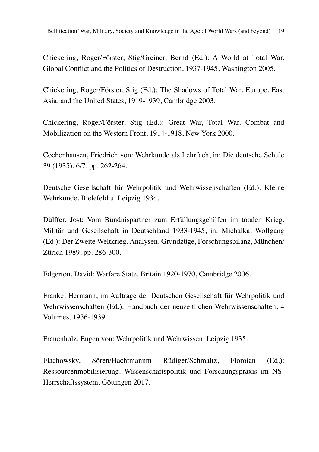Chickering, Roger/Förster, Stig/Greiner, Bernd (Ed.): A World at Total War. Global Conflict and the Politics of Destruction, 1937-1945, Washington 2005.

Chickering, Roger/Förster, Stig (Ed.): The Shadows of Total War, Europe, East Asia, and the United States, 1919-1939, Cambridge 2003.

Chickering, Roger/Förster, Stig (Ed.): Great War, Total War. Combat and Mobilization on the Western Front, 1914-1918, New York 2000.

Cochenhausen, Friedrich von: Wehrkunde als Lehrfach, in: Die deutsche Schule 39 (1935), 6/7, pp. 262-264.

Deutsche Gesellschaft für Wehrpolitik und Wehrwissenschaften (Ed.): Kleine Wehrkunde, Bielefeld u. Leipzig 1934.

Dülffer, Jost: Vom Bündnispartner zum Erfüllungsgehilfen im totalen Krieg. Militär und Gesellschaft in Deutschland 1933-1945, in: Michalka, Wolfgang (Ed.): Der Zweite Weltkrieg. Analysen, Grundzüge, Forschungsbilanz, München/ Zürich 1989, pp. 286-300.

Edgerton, David: Warfare State. Britain 1920-1970, Cambridge 2006.

Franke, Hermann, im Auftrage der Deutschen Gesellschaft für Wehrpolitik und Wehrwissenschaften (Ed.): Handbuch der neuzeitlichen Wehrwissenschaften, 4 Volumes, 1936-1939.

Frauenholz, Eugen von: Wehrpolitik und Wehrwissen, Leipzig 1935.

Flachowsky, Sören/Hachtmannm Rüdiger/Schmaltz, Floroian (Ed.): Ressourcenmobilisierung. Wissenschaftspolitik und Forschungspraxis im NS-Herrschaftssystem, Göttingen 2017.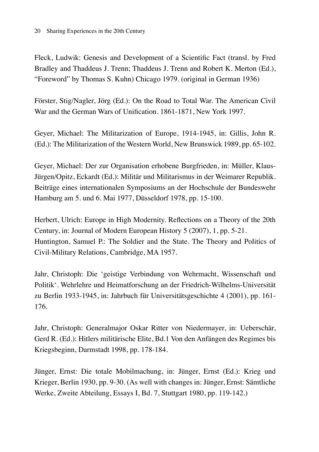Fleck, Ludwik: Genesis and Development of a Scientific Fact (transl. by Fred Bradley and Thaddeus J. Trenn; Thaddeus J. Trenn and Robert K. Merton (Ed.), "Foreword" by Thomas S. Kuhn) Chicago 1979. (original in German 1936)

Förster, Stig/Nagler, Jörg (Ed.): On the Road to Total War. The American Civil War and the German Wars of Unification. 1861-1871, New York 1997.

Geyer, Michael: The Militarization of Europe, 1914-1945, in: Gillis, John R. (Ed.): The Militarization of the Western World, New Brunswick 1989, pp. 65-102.

Geyer, Michael: Der zur Organisation erhobene Burgfrieden, in: Müller, Klaus-Jürgen/Opitz, Eckardt (Ed.): Militär und Militarismus in der Weimarer Republik. Beiträge eines internationalen Symposiums an der Hochschule der Bundeswehr Hamburg am 5. und 6. Mai 1977, Düsseldorf 1978, pp. 15-100.

Herbert, Ulrich: Europe in High Modernity. Reflections on a Theory of the 20th Century, in: Journal of Modern European History 5 (2007), 1, pp. 5-21. Huntington, Samuel P.: The Soldier and the State. The Theory and Politics of Civil-Military Relations, Cambridge, MA 1957.

Jahr, Christoph: Die 'geistige Verbindung von Wehrmacht, Wissenschaft und Politik'. Wehrlehre und Heimatforschung an der Friedrich-Wilhelms-Universität zu Berlin 1933-1945, in: Jahrbuch für Universitätsgeschichte 4 (2001), pp. 161- 176.

Jahr, Christoph: Generalmajor Oskar Ritter von Niedermayer, in: Ueberschär, Gerd R. (Ed.): Hitlers militärische Elite, Bd.1 Von den Anfängen des Regimes bis Kriegsbeginn, Darmstadt 1998, pp. 178-184.

Jünger, Ernst: Die totale Mobilmachung, in: Jünger, Ernst (Ed.): Krieg und Krieger, Berlin 1930, pp. 9-30. (As well with changes in: Jünger, Ernst: Sämtliche Werke, Zweite Abteilung, Essays I, Bd. 7, Stuttgart 1980, pp. 119-142.)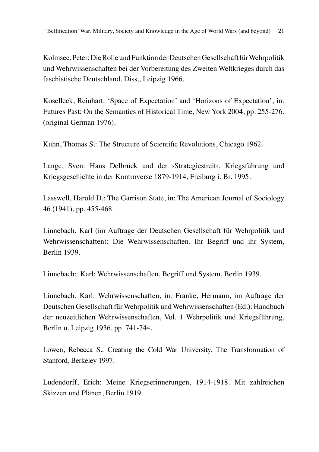Kolmsee, Peter: Die Rolle und Funktion der Deutschen Gesellschaft für Wehrpolitik und Wehrwissenschaften bei der Vorbereitung des Zweiten Weltkrieges durch das faschistische Deutschland. Diss., Leipzig 1966.

Koselleck, Reinhart: 'Space of Expectation' and 'Horizons of Expectation', in: Futures Past: On the Semantics of Historical Time, New York 2004, pp. 255-276. (original German 1976).

Kuhn, Thomas S.: The Structure of Scientific Revolutions, Chicago 1962.

Lange, Sven: Hans Delbrück und der »Strategiestreit«. Kriegsführung und Kriegsgeschichte in der Kontroverse 1879-1914, Freiburg i. Br. 1995.

Lasswell, Harold D.: The Garrison State, in: The American Journal of Sociology 46 (1941), pp. 455-468.

Linnebach, Karl (im Auftrage der Deutschen Gesellschaft für Wehrpolitik und Wehrwissenschaften): Die Wehrwissenschaften. Ihr Begriff und ihr System, Berlin 1939.

Linnebach:, Karl: Wehrwissenschaften. Begriff und System, Berlin 1939.

Linnebach, Karl: Wehrwissenschaften, in: Franke, Hermann, im Auftrage der Deutschen Gesellschaft für Wehrpolitik und Wehrwissenschaften (Ed.): Handbuch der neuzeitlichen Wehrwissenschaften, Vol. 1 Wehrpolitik und Kriegsführung, Berlin u. Leipzig 1936, pp. 741-744.

Lowen, Rebecca S.: Creating the Cold War University. The Transformation of Stanford, Berkeley 1997.

Ludendorff, Erich: Meine Kriegserinnerungen, 1914-1918. Mit zahlreichen Skizzen und Plänen, Berlin 1919.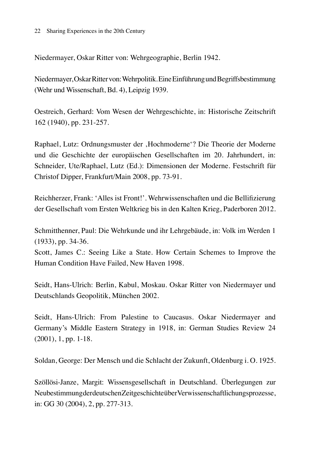Niedermayer, Oskar Ritter von: Wehrgeographie, Berlin 1942.

Niedermayer, Oskar Ritter von: Wehrpolitik. Eine Einführung und Begriffsbestimmung (Wehr und Wissenschaft, Bd. 4), Leipzig 1939.

Oestreich, Gerhard: Vom Wesen der Wehrgeschichte, in: Historische Zeitschrift 162 (1940), pp. 231-257.

Raphael, Lutz: Ordnungsmuster der 'Hochmoderne'? Die Theorie der Moderne und die Geschichte der europäischen Gesellschaften im 20. Jahrhundert, in: Schneider, Ute/Raphael, Lutz (Ed.): Dimensionen der Moderne. Festschrift für Christof Dipper, Frankfurt/Main 2008, pp. 73-91.

Reichherzer, Frank: 'Alles ist Front!'. Wehrwissenschaften und die Bellifizierung der Gesellschaft vom Ersten Weltkrieg bis in den Kalten Krieg, Paderboren 2012.

Schmitthenner, Paul: Die Wehrkunde und ihr Lehrgebäude, in: Volk im Werden 1 (1933), pp. 34-36.

Scott, James C.: Seeing Like a State. How Certain Schemes to Improve the Human Condition Have Failed, New Haven 1998.

Seidt, Hans-Ulrich: Berlin, Kabul, Moskau. Oskar Ritter von Niedermayer und Deutschlands Geopolitik, München 2002.

Seidt, Hans-Ulrich: From Palestine to Caucasus. Oskar Niedermayer and Germany's Middle Eastern Strategy in 1918, in: German Studies Review 24 (2001), 1, pp. 1-18.

Soldan, George: Der Mensch und die Schlacht der Zukunft, Oldenburg i. O. 1925.

Szöllösi-Janze, Margit: Wissensgesellschaft in Deutschland. Überlegungen zur Neubestimmung der deutschen Zeitgeschichte über Verwissenschaftlichungsprozesse, in: GG 30 (2004), 2, pp. 277-313.